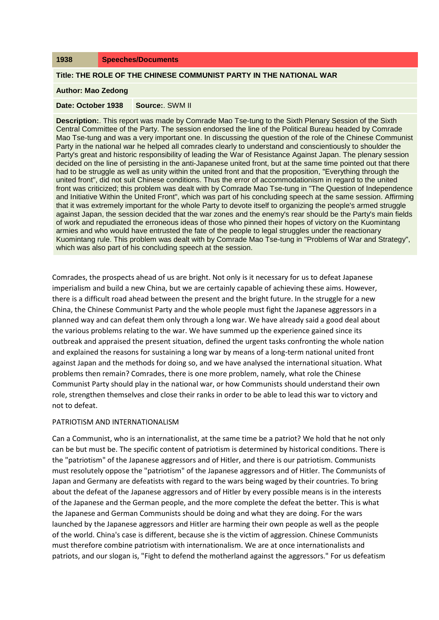### **1938 Speeches/Documents**

### **Title: THE ROLE OF THE CHINESE COMMUNIST PARTY IN THE NATIONAL WAR**

#### **Author: Mao Zedong**

### **Date: October 1938 Source:**. SWM II

**Description:**. This report was made by Comrade Mao Tse-tung to the Sixth Plenary Session of the Sixth Central Committee of the Party. The session endorsed the line of the Political Bureau headed by Comrade Mao Tse-tung and was a very important one. In discussing the question of the role of the Chinese Communist Party in the national war he helped all comrades clearly to understand and conscientiously to shoulder the Party's great and historic responsibility of leading the War of Resistance Against Japan. The plenary session decided on the line of persisting in the anti-Japanese united front, but at the same time pointed out that there had to be struggle as well as unity within the united front and that the proposition, "Everything through the united front", did not suit Chinese conditions. Thus the error of accommodationism in regard to the united front was criticized; this problem was dealt with by Comrade Mao Tse-tung in "The Question of Independence and Initiative Within the United Front", which was part of his concluding speech at the same session. Affirming that it was extremely important for the whole Party to devote itself to organizing the people's armed struggle against Japan, the session decided that the war zones and the enemy's rear should be the Party's main fields of work and repudiated the erroneous ideas of those who pinned their hopes of victory on the Kuomintang armies and who would have entrusted the fate of the people to legal struggles under the reactionary Kuomintang rule. This problem was dealt with by Comrade Mao Tse-tung in "Problems of War and Strategy", which was also part of his concluding speech at the session.

Comrades, the prospects ahead of us are bright. Not only is it necessary for us to defeat Japanese imperialism and build a new China, but we are certainly capable of achieving these aims. However, there is a difficult road ahead between the present and the bright future. In the struggle for a new China, the Chinese Communist Party and the whole people must fight the Japanese aggressors in a planned way and can defeat them only through a long war. We have already said a good deal about the various problems relating to the war. We have summed up the experience gained since its outbreak and appraised the present situation, defined the urgent tasks confronting the whole nation and explained the reasons for sustaining a long war by means of a long-term national united front against Japan and the methods for doing so, and we have analysed the international situation. What problems then remain? Comrades, there is one more problem, namely, what role the Chinese Communist Party should play in the national war, or how Communists should understand their own role, strengthen themselves and close their ranks in order to be able to lead this war to victory and not to defeat.

### PATRIOTISM AND INTERNATIONALISM

Can a Communist, who is an internationalist, at the same time be a patriot? We hold that he not only can be but must be. The specific content of patriotism is determined by historical conditions. There is the "patriotism" of the Japanese aggressors and of Hitler, and there is our patriotism. Communists must resolutely oppose the "patriotism" of the Japanese aggressors and of Hitler. The Communists of Japan and Germany are defeatists with regard to the wars being waged by their countries. To bring about the defeat of the Japanese aggressors and of Hitler by every possible means is in the interests of the Japanese and the German people, and the more complete the defeat the better. This is what the Japanese and German Communists should be doing and what they are doing. For the wars launched by the Japanese aggressors and Hitler are harming their own people as well as the people of the world. China's case is different, because she is the victim of aggression. Chinese Communists must therefore combine patriotism with internationalism. We are at once internationalists and patriots, and our slogan is, "Fight to defend the motherland against the aggressors." For us defeatism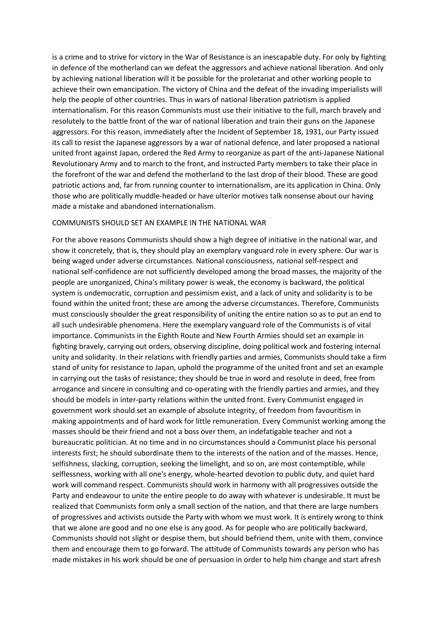is a crime and to strive for victory in the War of Resistance is an inescapable duty. For only by fighting in defence of the motherland can we defeat the aggressors and achieve national liberation. And only by achieving national liberation will it be possible for the proletariat and other working people to achieve their own emancipation. The victory of China and the defeat of the invading imperialists will help the people of other countries. Thus in wars of national liberation patriotism is applied internationalism. For this reason Communists must use their initiative to the full, march bravely and resolutely to the battle front of the war of national liberation and train their guns on the Japanese aggressors. For this reason, immediately after the Incident of September 18, 1931, our Party issued its call to resist the Japanese aggressors by a war of national defence, and later proposed a national united front against Japan, ordered the Red Army to reorganize as part of the anti-Japanese National Revolutionary Army and to march to the front, and instructed Party members to take their place in the forefront of the war and defend the motherland to the last drop of their blood. These are good patriotic actions and, far from running counter to internationalism, are its application in China. Only those who are politically muddle-headed or have ulterior motives talk nonsense about our having made a mistake and abandoned internationalism.

### COMMUNISTS SHOULD SET AN EXAMPLE IN THE NATIONAL WAR

For the above reasons Communists should show a high degree of initiative in the national war, and show it concretely, that is, they should play an exemplary vanguard role in every sphere. Our war is being waged under adverse circumstances. National consciousness, national self-respect and national self-confidence are not sufficiently developed among the broad masses, the majority of the people are unorganized, China's military power is weak, the economy is backward, the political system is undemocratic, corruption and pessimism exist, and a lack of unity and solidarity is to be found within the united front; these are among the adverse circumstances. Therefore, Communists must consciously shoulder the great responsibility of uniting the entire nation so as to put an end to all such undesirable phenomena. Here the exemplary vanguard role of the Communists is of vital importance. Communists in the Eighth Route and New Fourth Armies should set an example in fighting bravely, carrying out orders, observing discipline, doing political work and fostering internal unity and solidarity. In their relations with friendly parties and armies, Communists should take a firm stand of unity for resistance to Japan, uphold the programme of the united front and set an example in carrying out the tasks of resistance; they should be true in word and resolute in deed, free from arrogance and sincere in consulting and co-operating with the friendly parties and armies, and they should be models in inter-party relations within the united front. Every Communist engaged in government work should set an example of absolute integrity, of freedom from favouritism in making appointments and of hard work for little remuneration. Every Communist working among the masses should be their friend and not a boss over them, an indefatigable teacher and not a bureaucratic politician. At no time and in no circumstances should a Communist place his personal interests first; he should subordinate them to the interests of the nation and of the masses. Hence, selfishness, slacking, corruption, seeking the limelight, and so on, are most contemptible, while selflessness, working with all one's energy, whole-hearted devotion to public duty, and quiet hard work will command respect. Communists should work in harmony with all progressives outside the Party and endeavour to unite the entire people to do away with whatever is undesirable. It must be realized that Communists form only a small section of the nation, and that there are large numbers of progressives and activists outside the Party with whom we must work. It is entirely wrong to think that we alone are good and no one else is any good. As for people who are politically backward, Communists should not slight or despise them, but should befriend them, unite with them, convince them and encourage them to go forward. The attitude of Communists towards any person who has made mistakes in his work should be one of persuasion in order to help him change and start afresh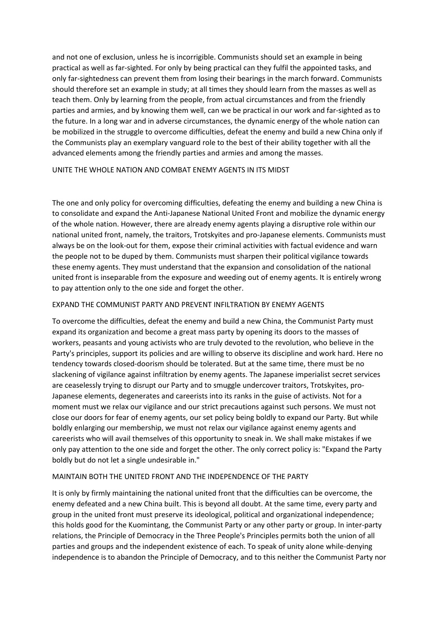and not one of exclusion, unless he is incorrigible. Communists should set an example in being practical as well as far-sighted. For only by being practical can they fulfil the appointed tasks, and only far-sightedness can prevent them from losing their bearings in the march forward. Communists should therefore set an example in study; at all times they should learn from the masses as well as teach them. Only by learning from the people, from actual circumstances and from the friendly parties and armies, and by knowing them well, can we be practical in our work and far-sighted as to the future. In a long war and in adverse circumstances, the dynamic energy of the whole nation can be mobilized in the struggle to overcome difficulties, defeat the enemy and build a new China only if the Communists play an exemplary vanguard role to the best of their ability together with all the advanced elements among the friendly parties and armies and among the masses.

## UNITE THE WHOLE NATION AND COMBAT ENEMY AGENTS IN ITS MIDST

The one and only policy for overcoming difficulties, defeating the enemy and building a new China is to consolidate and expand the Anti-Japanese National United Front and mobilize the dynamic energy of the whole nation. However, there are already enemy agents playing a disruptive role within our national united front, namely, the traitors, Trotskyites and pro-Japanese elements. Communists must always be on the look-out for them, expose their criminal activities with factual evidence and warn the people not to be duped by them. Communists must sharpen their political vigilance towards these enemy agents. They must understand that the expansion and consolidation of the national united front is inseparable from the exposure and weeding out of enemy agents. It is entirely wrong to pay attention only to the one side and forget the other.

# EXPAND THE COMMUNIST PARTY AND PREVENT INFILTRATION BY ENEMY AGENTS

To overcome the difficulties, defeat the enemy and build a new China, the Communist Party must expand its organization and become a great mass party by opening its doors to the masses of workers, peasants and young activists who are truly devoted to the revolution, who believe in the Party's principles, support its policies and are willing to observe its discipline and work hard. Here no tendency towards closed-doorism should be tolerated. But at the same time, there must be no slackening of vigilance against infiltration by enemy agents. The Japanese imperialist secret services are ceaselessly trying to disrupt our Party and to smuggle undercover traitors, Trotskyites, pro-Japanese elements, degenerates and careerists into its ranks in the guise of activists. Not for a moment must we relax our vigilance and our strict precautions against such persons. We must not close our doors for fear of enemy agents, our set policy being boldly to expand our Party. But while boldly enlarging our membership, we must not relax our vigilance against enemy agents and careerists who will avail themselves of this opportunity to sneak in. We shall make mistakes if we only pay attention to the one side and forget the other. The only correct policy is: "Expand the Party boldly but do not let a single undesirable in."

## MAINTAIN BOTH THE UNITED FRONT AND THE INDEPENDENCE OF THE PARTY

It is only by firmly maintaining the national united front that the difficulties can be overcome, the enemy defeated and a new China built. This is beyond all doubt. At the same time, every party and group in the united front must preserve its ideological, political and organizational independence; this holds good for the Kuomintang, the Communist Party or any other party or group. In inter-party relations, the Principle of Democracy in the Three People's Principles permits both the union of all parties and groups and the independent existence of each. To speak of unity alone while-denying independence is to abandon the Principle of Democracy, and to this neither the Communist Party nor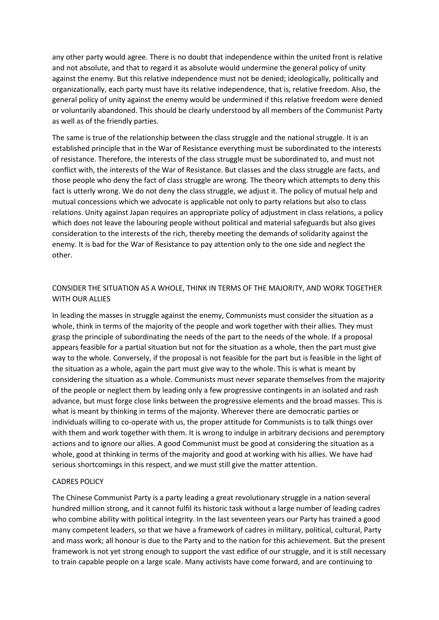any other party would agree. There is no doubt that independence within the united front is relative and not absolute, and that to regard it as absolute would undermine the general policy of unity against the enemy. But this relative independence must not be denied; ideologically, politically and organizationally, each party must have its relative independence, that is, relative freedom. Also, the general policy of unity against the enemy would be undermined if this relative freedom were denied or voluntarily abandoned. This should be clearly understood by all members of the Communist Party as well as of the friendly parties.

The same is true of the relationship between the class struggle and the national struggle. It is an established principle that in the War of Resistance everything must be subordinated to the interests of resistance. Therefore, the interests of the class struggle must be subordinated to, and must not conflict with, the interests of the War of Resistance. But classes and the class struggle are facts, and those people who deny the fact of class struggle are wrong. The theory which attempts to deny this fact is utterly wrong. We do not deny the class struggle, we adjust it. The policy of mutual help and mutual concessions which we advocate is applicable not only to party relations but also to class relations. Unity against Japan requires an appropriate policy of adjustment in class relations, a policy which does not leave the labouring people without political and material safeguards but also gives consideration to the interests of the rich, thereby meeting the demands of solidarity against the enemy. It is bad for the War of Resistance to pay attention only to the one side and neglect the other.

# CONSIDER THE SITUATION AS A WHOLE, THINK IN TERMS OF THE MAJORITY, AND WORK TOGETHER WITH OUR ALLIES

In leading the masses in struggle against the enemy, Communists must consider the situation as a whole, think in terms of the majority of the people and work together with their allies. They must grasp the principle of subordinating the needs of the part to the needs of the whole. If a proposal appears feasible for a partial situation but not for the situation as a whole, then the part must give way to the whole. Conversely, if the proposal is not feasible for the part but is feasible in the light of the situation as a whole, again the part must give way to the whole. This is what is meant by considering the situation as a whole. Communists must never separate themselves from the majority of the people or neglect them by leading only a few progressive contingents in an isolated and rash advance, but must forge close links between the progressive elements and the broad masses. This is what is meant by thinking in terms of the majority. Wherever there are democratic parties or individuals willing to co-operate with us, the proper attitude for Communists is to talk things over with them and work together with them. It is wrong to indulge in arbitrary decisions and peremptory actions and to ignore our allies. A good Communist must be good at considering the situation as a whole, good at thinking in terms of the majority and good at working with his allies. We have had serious shortcomings in this respect, and we must still give the matter attention.

## CADRES POLICY

The Chinese Communist Party is a party leading a great revolutionary struggle in a nation several hundred million strong, and it cannot fulfil its historic task without a large number of leading cadres who combine ability with political integrity. In the last seventeen years our Party has trained a good many competent leaders, so that we have a framework of cadres in military, political, cultural, Party and mass work; all honour is due to the Party and to the nation for this achievement. But the present framework is not yet strong enough to support the vast edifice of our struggle, and it is still necessary to train capable people on a large scale. Many activists have come forward, and are continuing to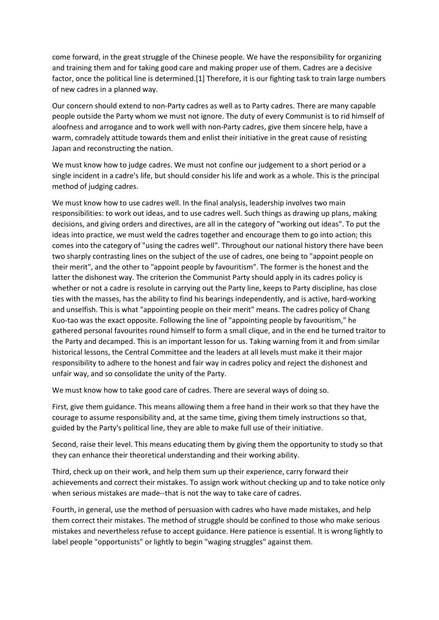come forward, in the great struggle of the Chinese people. We have the responsibility for organizing and training them and for taking good care and making proper use of them. Cadres are a decisive factor, once the political line is determined.[1] Therefore, it is our fighting task to train large numbers of new cadres in a planned way.

Our concern should extend to non-Party cadres as well as to Party cadres. There are many capable people outside the Party whom we must not ignore. The duty of every Communist is to rid himself of aloofness and arrogance and to work well with non-Party cadres, give them sincere help, have a warm, comradely attitude towards them and enlist their initiative in the great cause of resisting Japan and reconstructing the nation.

We must know how to judge cadres. We must not confine our judgement to a short period or a single incident in a cadre's life, but should consider his life and work as a whole. This is the principal method of judging cadres.

We must know how to use cadres well. In the final analysis, leadership involves two main responsibilities: to work out ideas, and to use cadres well. Such things as drawing up plans, making decisions, and giving orders and directives, are all in the category of "working out ideas". To put the ideas into practice, we must weld the cadres together and encourage them to go into action; this comes into the category of "using the cadres well". Throughout our national history there have been two sharply contrasting lines on the subject of the use of cadres, one being to "appoint people on their merit", and the other to "appoint people by favouritism". The former is the honest and the latter the dishonest way. The criterion the Communist Party should apply in its cadres policy is whether or not a cadre is resolute in carrying out the Party line, keeps to Party discipline, has close ties with the masses, has the ability to find his bearings independently, and is active, hard-working and unselfish. This is what "appointing people on their merit" means. The cadres policy of Chang Kuo-tao was the exact opposite. Following the line of "appointing people by favouritism," he gathered personal favourites round himself to form a small clique, and in the end he turned traitor to the Party and decamped. This is an important lesson for us. Taking warning from it and from similar historical lessons, the Central Committee and the leaders at all levels must make it their major responsibility to adhere to the honest and fair way in cadres policy and reject the dishonest and unfair way, and so consolidate the unity of the Party.

We must know how to take good care of cadres. There are several ways of doing so.

First, give them guidance. This means allowing them a free hand in their work so that they have the courage to assume responsibility and, at the same time, giving them timely instructions so that, guided by the Party's political line, they are able to make full use of their initiative.

Second, raise their level. This means educating them by giving them the opportunity to study so that they can enhance their theoretical understanding and their working ability.

Third, check up on their work, and help them sum up their experience, carry forward their achievements and correct their mistakes. To assign work without checking up and to take notice only when serious mistakes are made--that is not the way to take care of cadres.

Fourth, in general, use the method of persuasion with cadres who have made mistakes, and help them correct their mistakes. The method of struggle should be confined to those who make serious mistakes and nevertheless refuse to accept guidance. Here patience is essential. It is wrong lightly to label people "opportunists" or lightly to begin "waging struggles" against them.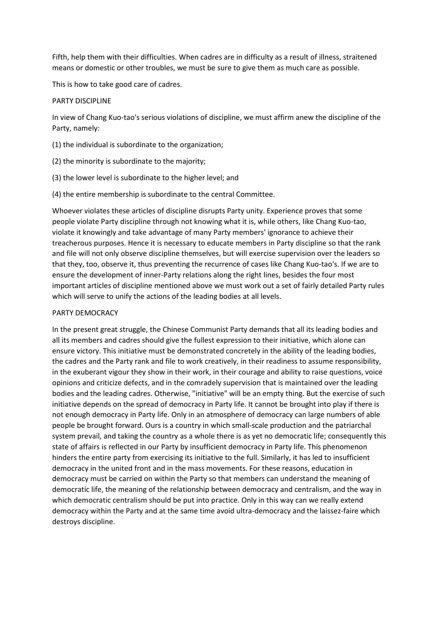Fifth, help them with their difficulties. When cadres are in difficulty as a result of illness, straitened means or domestic or other troubles, we must be sure to give them as much care as possible.

This is how to take good care of cadres.

# PARTY DISCIPLINE

In view of Chang Kuo-tao's serious violations of discipline, we must affirm anew the discipline of the Party, namely:

- (1) the individual is subordinate to the organization;
- (2) the minority is subordinate to the majority;
- (3) the lower level is subordinate to the higher level; and
- (4) the entire membership is subordinate to the central Committee.

Whoever violates these articles of discipline disrupts Party unity. Experience proves that some people violate Party discipline through not knowing what it is, while others, like Chang Kuo-tao, violate it knowingly and take advantage of many Party members' ignorance to achieve their treacherous purposes. Hence it is necessary to educate members in Party discipline so that the rank and file will not only observe discipline themselves, but will exercise supervision over the leaders so that they, too, observe it, thus preventing the recurrence of cases like Chang Kuo-tao's. If we are to ensure the development of inner-Party relations along the right lines, besides the four most important articles of discipline mentioned above we must work out a set of fairly detailed Party rules which will serve to unify the actions of the leading bodies at all levels.

## PARTY DEMOCRACY

In the present great struggle, the Chinese Communist Party demands that all its leading bodies and all its members and cadres should give the fullest expression to their initiative, which alone can ensure victory. This initiative must be demonstrated concretely in the ability of the leading bodies, the cadres and the Party rank and file to work creatively, in their readiness to assume responsibility, in the exuberant vigour they show in their work, in their courage and ability to raise questions, voice opinions and criticize defects, and in the comradely supervision that is maintained over the leading bodies and the leading cadres. Otherwise, "initiative" will be an empty thing. But the exercise of such initiative depends on the spread of democracy in Party life. It cannot be brought into play if there is not enough democracy in Party life. Only in an atmosphere of democracy can large numbers of able people be brought forward. Ours is a country in which small-scale production and the patriarchal system prevail, and taking the country as a whole there is as yet no democratic life; consequently this state of affairs is reflected in our Party by insufficient democracy in Party life. This phenomenon hinders the entire party from exercising its initiative to the full. Similarly, it has led to insufficient democracy in the united front and in the mass movements. For these reasons, education in democracy must be carried on within the Party so that members can understand the meaning of democratic life, the meaning of the relationship between democracy and centralism, and the way in which democratic centralism should be put into practice. Only in this way can we really extend democracy within the Party and at the same time avoid ultra-democracy and the laissez-faire which destroys discipline.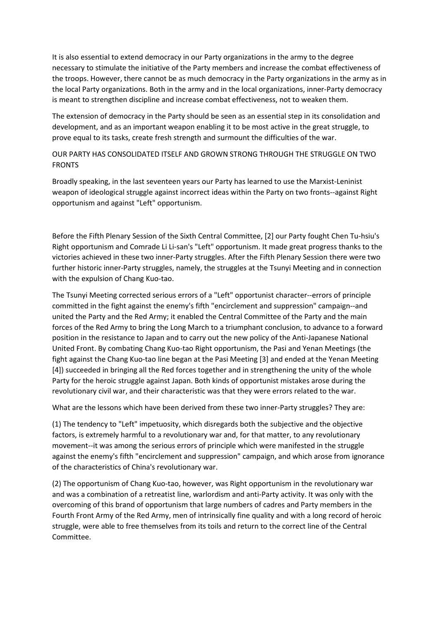It is also essential to extend democracy in our Party organizations in the army to the degree necessary to stimulate the initiative of the Party members and increase the combat effectiveness of the troops. However, there cannot be as much democracy in the Party organizations in the army as in the local Party organizations. Both in the army and in the local organizations, inner-Party democracy is meant to strengthen discipline and increase combat effectiveness, not to weaken them.

The extension of democracy in the Party should be seen as an essential step in its consolidation and development, and as an important weapon enabling it to be most active in the great struggle, to prove equal to its tasks, create fresh strength and surmount the difficulties of the war.

# OUR PARTY HAS CONSOLIDATED ITSELF AND GROWN STRONG THROUGH THE STRUGGLE ON TWO FRONTS

Broadly speaking, in the last seventeen years our Party has learned to use the Marxist-Leninist weapon of ideological struggle against incorrect ideas within the Party on two fronts--against Right opportunism and against "Left" opportunism.

Before the Fifth Plenary Session of the Sixth Central Committee, [2] our Party fought Chen Tu-hsiu's Right opportunism and Comrade Li Li-san's "Left" opportunism. It made great progress thanks to the victories achieved in these two inner-Party struggles. After the Fifth Plenary Session there were two further historic inner-Party struggles, namely, the struggles at the Tsunyi Meeting and in connection with the expulsion of Chang Kuo-tao.

The Tsunyi Meeting corrected serious errors of a "Left" opportunist character--errors of principle committed in the fight against the enemy's fifth "encirclement and suppression" campaign--and united the Party and the Red Army; it enabled the Central Committee of the Party and the main forces of the Red Army to bring the Long March to a triumphant conclusion, to advance to a forward position in the resistance to Japan and to carry out the new policy of the Anti-Japanese National United Front. By combating Chang Kuo-tao Right opportunism, the Pasi and Yenan Meetings (the fight against the Chang Kuo-tao line began at the Pasi Meeting [3] and ended at the Yenan Meeting [4]) succeeded in bringing all the Red forces together and in strengthening the unity of the whole Party for the heroic struggle against Japan. Both kinds of opportunist mistakes arose during the revolutionary civil war, and their characteristic was that they were errors related to the war.

What are the lessons which have been derived from these two inner-Party struggles? They are:

(1) The tendency to "Left" impetuosity, which disregards both the subjective and the objective factors, is extremely harmful to a revolutionary war and, for that matter, to any revolutionary movement--it was among the serious errors of principle which were manifested in the struggle against the enemy's fifth "encirclement and suppression" campaign, and which arose from ignorance of the characteristics of China's revolutionary war.

(2) The opportunism of Chang Kuo-tao, however, was Right opportunism in the revolutionary war and was a combination of a retreatist line, warlordism and anti-Party activity. It was only with the overcoming of this brand of opportunism that large numbers of cadres and Party members in the Fourth Front Army of the Red Army, men of intrinsically fine quality and with a long record of heroic struggle, were able to free themselves from its toils and return to the correct line of the Central Committee.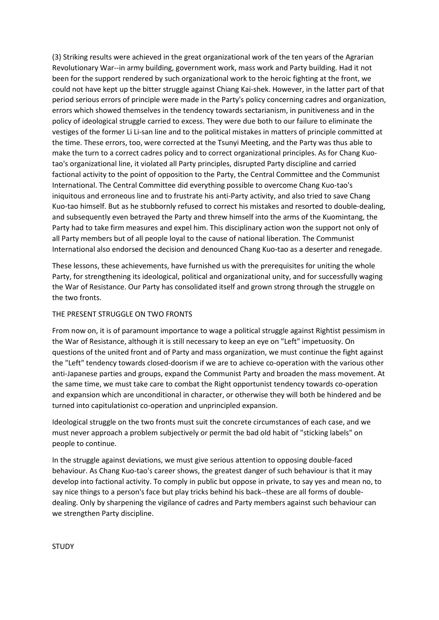(3) Striking results were achieved in the great organizational work of the ten years of the Agrarian Revolutionary War--in army building, government work, mass work and Party building. Had it not been for the support rendered by such organizational work to the heroic fighting at the front, we could not have kept up the bitter struggle against Chiang Kai-shek. However, in the latter part of that period serious errors of principle were made in the Party's policy concerning cadres and organization, errors which showed themselves in the tendency towards sectarianism, in punitiveness and in the policy of ideological struggle carried to excess. They were due both to our failure to eliminate the vestiges of the former Li Li-san line and to the political mistakes in matters of principle committed at the time. These errors, too, were corrected at the Tsunyi Meeting, and the Party was thus able to make the turn to a correct cadres policy and to correct organizational principles. As for Chang Kuotao's organizational line, it violated all Party principles, disrupted Party discipline and carried factional activity to the point of opposition to the Party, the Central Committee and the Communist International. The Central Committee did everything possible to overcome Chang Kuo-tao's iniquitous and erroneous line and to frustrate his anti-Party activity, and also tried to save Chang Kuo-tao himself. But as he stubbornly refused to correct his mistakes and resorted to double-dealing, and subsequently even betrayed the Party and threw himself into the arms of the Kuomintang, the Party had to take firm measures and expel him. This disciplinary action won the support not only of all Party members but of all people loyal to the cause of national liberation. The Communist International also endorsed the decision and denounced Chang Kuo-tao as a deserter and renegade.

These lessons, these achievements, have furnished us with the prerequisites for uniting the whole Party, for strengthening its ideological, political and organizational unity, and for successfully waging the War of Resistance. Our Party has consolidated itself and grown strong through the struggle on the two fronts.

# THE PRESENT STRUGGLE ON TWO FRONTS

From now on, it is of paramount importance to wage a political struggle against Rightist pessimism in the War of Resistance, although it is still necessary to keep an eye on "Left" impetuosity. On questions of the united front and of Party and mass organization, we must continue the fight against the "Left" tendency towards closed-doorism if we are to achieve co-operation with the various other anti-Japanese parties and groups, expand the Communist Party and broaden the mass movement. At the same time, we must take care to combat the Right opportunist tendency towards co-operation and expansion which are unconditional in character, or otherwise they will both be hindered and be turned into capitulationist co-operation and unprincipled expansion.

Ideological struggle on the two fronts must suit the concrete circumstances of each case, and we must never approach a problem subjectively or permit the bad old habit of "sticking labels" on people to continue.

In the struggle against deviations, we must give serious attention to opposing double-faced behaviour. As Chang Kuo-tao's career shows, the greatest danger of such behaviour is that it may develop into factional activity. To comply in public but oppose in private, to say yes and mean no, to say nice things to a person's face but play tricks behind his back--these are all forms of doubledealing. Only by sharpening the vigilance of cadres and Party members against such behaviour can we strengthen Party discipline.

STUDY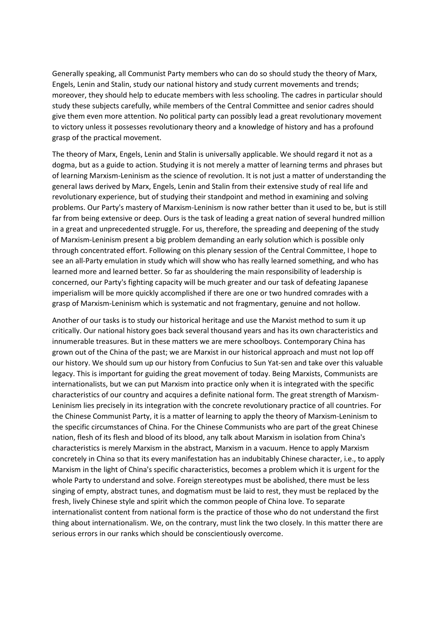Generally speaking, all Communist Party members who can do so should study the theory of Marx, Engels, Lenin and Stalin, study our national history and study current movements and trends; moreover, they should help to educate members with less schooling. The cadres in particular should study these subjects carefully, while members of the Central Committee and senior cadres should give them even more attention. No political party can possibly lead a great revolutionary movement to victory unless it possesses revolutionary theory and a knowledge of history and has a profound grasp of the practical movement.

The theory of Marx, Engels, Lenin and Stalin is universally applicable. We should regard it not as a dogma, but as a guide to action. Studying it is not merely a matter of learning terms and phrases but of learning Marxism-Leninism as the science of revolution. It is not just a matter of understanding the general laws derived by Marx, Engels, Lenin and Stalin from their extensive study of real life and revolutionary experience, but of studying their standpoint and method in examining and solving problems. Our Party's mastery of Marxism-Leninism is now rather better than it used to be, but is still far from being extensive or deep. Ours is the task of leading a great nation of several hundred million in a great and unprecedented struggle. For us, therefore, the spreading and deepening of the study of Marxism-Leninism present a big problem demanding an early solution which is possible only through concentrated effort. Following on this plenary session of the Central Committee, I hope to see an all-Party emulation in study which will show who has really learned something, and who has learned more and learned better. So far as shouldering the main responsibility of leadership is concerned, our Party's fighting capacity will be much greater and our task of defeating Japanese imperialism will be more quickly accomplished if there are one or two hundred comrades with a grasp of Marxism-Leninism which is systematic and not fragmentary, genuine and not hollow.

Another of our tasks is to study our historical heritage and use the Marxist method to sum it up critically. Our national history goes back several thousand years and has its own characteristics and innumerable treasures. But in these matters we are mere schoolboys. Contemporary China has grown out of the China of the past; we are Marxist in our historical approach and must not lop off our history. We should sum up our history from Confucius to Sun Yat-sen and take over this valuable legacy. This is important for guiding the great movement of today. Being Marxists, Communists are internationalists, but we can put Marxism into practice only when it is integrated with the specific characteristics of our country and acquires a definite national form. The great strength of Marxism-Leninism lies precisely in its integration with the concrete revolutionary practice of all countries. For the Chinese Communist Party, it is a matter of learning to apply the theory of Marxism-Leninism to the specific circumstances of China. For the Chinese Communists who are part of the great Chinese nation, flesh of its flesh and blood of its blood, any talk about Marxism in isolation from China's characteristics is merely Marxism in the abstract, Marxism in a vacuum. Hence to apply Marxism concretely in China so that its every manifestation has an indubitably Chinese character, i.e., to apply Marxism in the light of China's specific characteristics, becomes a problem which it is urgent for the whole Party to understand and solve. Foreign stereotypes must be abolished, there must be less singing of empty, abstract tunes, and dogmatism must be laid to rest, they must be replaced by the fresh, lively Chinese style and spirit which the common people of China love. To separate internationalist content from national form is the practice of those who do not understand the first thing about internationalism. We, on the contrary, must link the two closely. In this matter there are serious errors in our ranks which should be conscientiously overcome.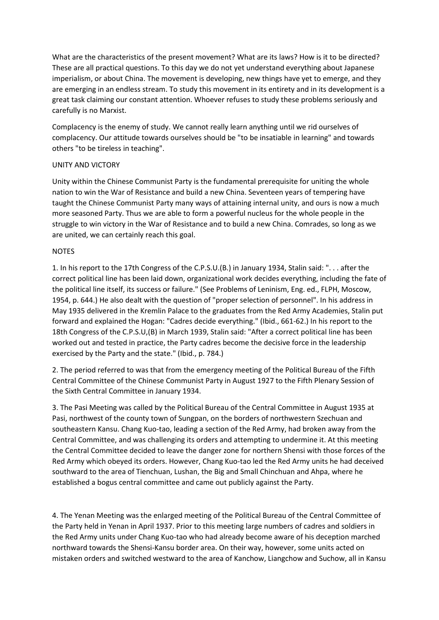What are the characteristics of the present movement? What are its laws? How is it to be directed? These are all practical questions. To this day we do not yet understand everything about Japanese imperialism, or about China. The movement is developing, new things have yet to emerge, and they are emerging in an endless stream. To study this movement in its entirety and in its development is a great task claiming our constant attention. Whoever refuses to study these problems seriously and carefully is no Marxist.

Complacency is the enemy of study. We cannot really learn anything until we rid ourselves of complacency. Our attitude towards ourselves should be "to be insatiable in learning" and towards others "to be tireless in teaching".

# UNITY AND VICTORY

Unity within the Chinese Communist Party is the fundamental prerequisite for uniting the whole nation to win the War of Resistance and build a new China. Seventeen years of tempering have taught the Chinese Communist Party many ways of attaining internal unity, and ours is now a much more seasoned Party. Thus we are able to form a powerful nucleus for the whole people in the struggle to win victory in the War of Resistance and to build a new China. Comrades, so long as we are united, we can certainly reach this goal.

# NOTES

1. In his report to the 17th Congress of the C.P.S.U.(B.) in January 1934, Stalin said: ". . . after the correct political line has been laid down, organizational work decides everything, including the fate of the political line itself, its success or failure." (See Problems of Leninism, Eng. ed., FLPH, Moscow, 1954, p. 644.) He also dealt with the question of "proper selection of personnel". In his address in May 1935 delivered in the Kremlin Palace to the graduates from the Red Army Academies, Stalin put forward and explained the Hogan: "Cadres decide everything." (Ibid., 661-62.) In his report to the 18th Congress of the C.P.S.U,(B) in March 1939, Stalin said: "After a correct political line has been worked out and tested in practice, the Party cadres become the decisive force in the leadership exercised by the Party and the state." (Ibid., p. 784.)

2. The period referred to was that from the emergency meeting of the Political Bureau of the Fifth Central Committee of the Chinese Communist Party in August 1927 to the Fifth Plenary Session of the Sixth Central Committee in January 1934.

3. The Pasi Meeting was called by the Political Bureau of the Central Committee in August 1935 at Pasi, northwest of the county town of Sungpan, on the borders of northwestern Szechuan and southeastern Kansu. Chang Kuo-tao, leading a section of the Red Army, had broken away from the Central Committee, and was challenging its orders and attempting to undermine it. At this meeting the Central Committee decided to leave the danger zone for northern Shensi with those forces of the Red Army which obeyed its orders. However, Chang Kuo-tao led the Red Army units he had deceived southward to the area of Tienchuan, Lushan, the Big and Small Chinchuan and Ahpa, where he established a bogus central committee and came out publicly against the Party.

4. The Yenan Meeting was the enlarged meeting of the Political Bureau of the Central Committee of the Party held in Yenan in April 1937. Prior to this meeting large numbers of cadres and soldiers in the Red Army units under Chang Kuo-tao who had already become aware of his deception marched northward towards the Shensi-Kansu border area. On their way, however, some units acted on mistaken orders and switched westward to the area of Kanchow, Liangchow and Suchow, all in Kansu